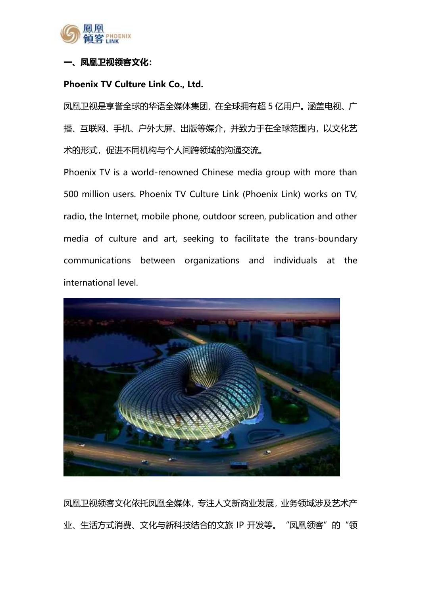

## 凤凰卫视领客文化:

### Phoenix TV Culture Link Co., Ltd.

凤凰卫视是享誉全球的华语全媒体集团,在全球拥有超 5 亿用户。涵盖电视、广 播、互联网、手机、户外大屏、出版等媒介,并致力于在全球范围内,以文化艺 术的形式,促进不同机构与个人间跨领域的沟通交流。

Phoenix TV is a world-renowned Chinese media group with more than 500 million users. Phoenix TV Culture Link (Phoenix Link) works on TV, radio, the Internet, mobile phone, outdoor screen, publication and other media of culture and art, seeking to facilitate the trans-boundary communications between organizations and individuals at the international level.



凤凰卫视领客文化依托凤凰全媒体,专注人文新商业发展,业务领域涉及艺术产 业、生活方式消费、文化与新科技结合的文旅 IP 开发等。"凤凰领客"的"领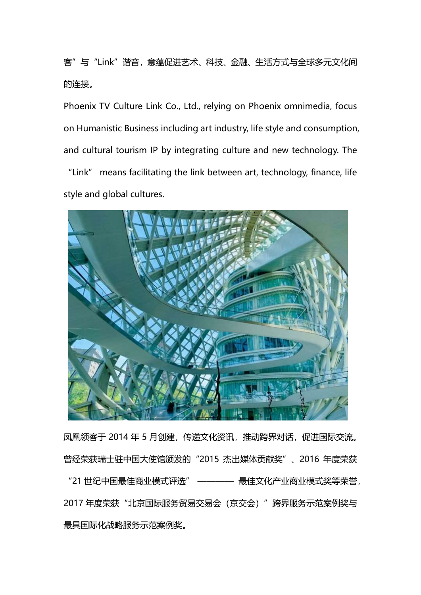客"与"Link"谐音,意蕴促进艺术、科技、金融、生活方式与全球多元文化间 的连接。

Phoenix TV Culture Link Co., Ltd., relying on Phoenix omnimedia, focus on Humanistic Business including art industry, life style and consumption, and cultural tourism IP by integrating culture and new technology. The "Link" means facilitating the link between art, technology, finance, life style and global cultures.



凤凰领客于 2014 年 5 月创建, 传递文化资讯, 推动跨界对话, 促进国际交流。 曾经荣获瑞士驻中国大使馆颁发的"2015 杰出媒体贡献奖"、2016 年度荣获 "21 世纪中国最佳商业模式评选" ———— 最佳文化产业商业模式奖等荣誉, 2017 年度荣获"北京国际服务贸易交易会(京交会)"跨界服务示范案例奖与 最具国际化战略服务示范案例奖。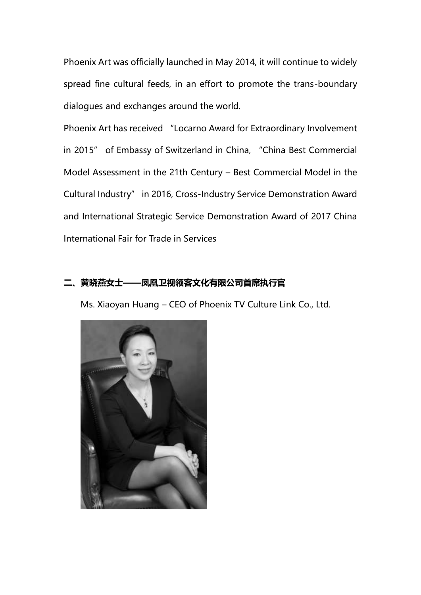Phoenix Art was officially launched in May 2014, it will continue to widely spread fine cultural feeds, in an effort to promote the trans-boundary dialogues and exchanges around the world.

Phoenix Art has received "Locarno Award for Extraordinary Involvement in 2015" of Embassy of Switzerland in China, "China Best Commercial Model Assessment in the 21th Century – Best Commercial Model in the Cultural Industry" in 2016, Cross-Industry Service Demonstration Award and International Strategic Service Demonstration Award of 2017 China International Fair for Trade in Services

## 二、黄晓燕女士——凤凰卫视领客文化有限公司首席执行官

Ms. Xiaoyan Huang – CEO of Phoenix TV Culture Link Co., Ltd.

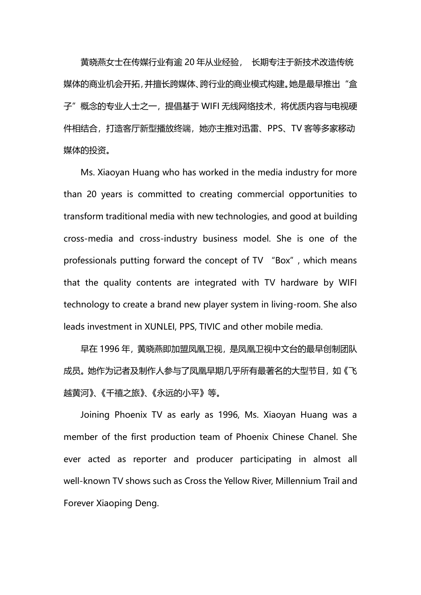黄晓燕女士在传媒行业有逾 20 年从业经验, 长期专注于新技术改造传统 媒体的商业机会开拓,并擅长跨媒体、跨行业的商业模式构建。她是最早推出"盒 子"概念的专业人士之一, 提倡基于 WIFI 无线网络技术, 将优质内容与电视硬 件相结合,打造客厅新型播放终端,她亦主推对迅雷、PPS、TV 客等多家移动 媒体的投资。

Ms. Xiaoyan Huang who has worked in the media industry for more than 20 years is committed to creating commercial opportunities to transform traditional media with new technologies, and good at building cross-media and cross-industry business model. She is one of the professionals putting forward the concept of TV "Box", which means that the quality contents are integrated with TV hardware by WIFI technology to create a brand new player system in living-room. She also leads investment in XUNLEI, PPS, TIVIC and other mobile media.

早在 1996 年,黄晓燕即加盟凤凰卫视,是凤凰卫视中文台的最早创制团队 成员。她作为记者及制作人参与了凤凰早期几乎所有最著名的大型节目,如《飞 越黄河》、《千禧之旅》、《永远的小平》等。

Joining Phoenix TV as early as 1996, Ms. Xiaoyan Huang was a member of the first production team of Phoenix Chinese Chanel. She ever acted as reporter and producer participating in almost all well-known TV shows such as Cross the Yellow River, Millennium Trail and Forever Xiaoping Deng.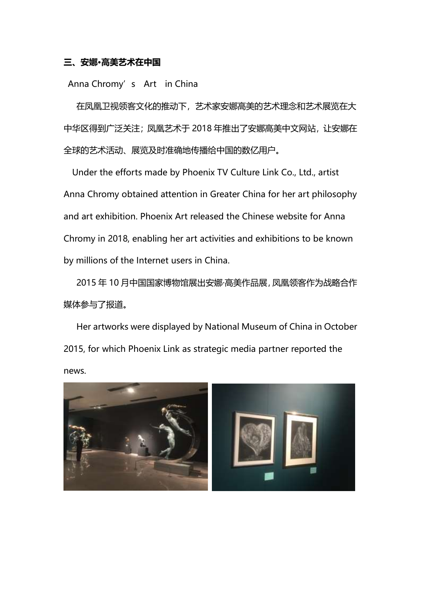### 三、安娜·高美艺术在中国

Anna Chromy's Art in China

在凤凰卫视领客文化的推动下,艺术家安娜高美的艺术理念和艺术展览在大 中华区得到广泛关注;凤凰艺术于 2018 年推出了安娜高美中文网站, 让安娜在 全球的艺术活动、展览及时准确地传播给中国的数亿用户。

Under the efforts made by Phoenix TV Culture Link Co., Ltd., artist Anna Chromy obtained attention in Greater China for her art philosophy and art exhibition. Phoenix Art released the Chinese website for Anna Chromy in 2018, enabling her art activities and exhibitions to be known by millions of the Internet users in China.

2015 年 10 月中国国家博物馆展出安娜·高美作品展,凤凰领客作为战略合作 媒体参与了报道。

Her artworks were displayed by National Museum of China in October 2015, for which Phoenix Link as strategic media partner reported the news.

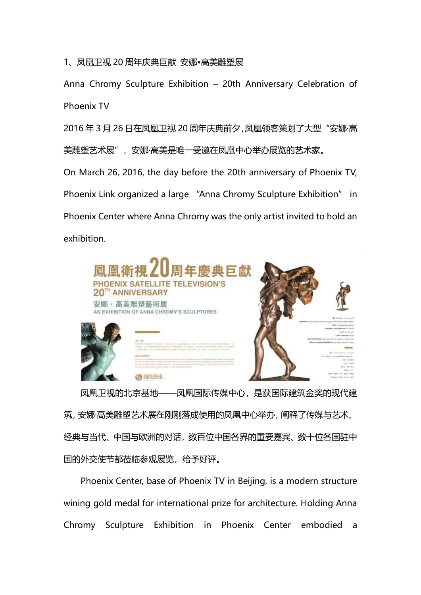## 1、凤凰卫视 20 周年庆典巨献 安娜•高美雕塑展

Anna Chromy Sculpture Exhibition – 20th Anniversary Celebration of Phoenix TV

2016年 3月 26 日在凤凰卫视 20 周年庆典前夕,凤凰领客策划了大型"安娜·高 美雕塑艺术展", 安娜·高美是唯一受邀在凤凰中心举办展览的艺术家。

On March 26, 2016, the day before the 20th anniversary of Phoenix TV, Phoenix Link organized a large "Anna Chromy Sculpture Exhibition" in Phoenix Center where Anna Chromy was the only artist invited to hold an exhibition.



凤凰卫视的北京基地——凤凰国际传媒中心,是获国际建筑金奖的现代建 筑,安娜·高美雕塑艺术展在刚刚落成使用的凤凰中心举办,阐释了传媒与艺术、 经典与当代、中国与欧洲的对话,数百位中国各界的重要嘉宾、数十位各国驻中 国的外交使节都莅临参观展览,给予好评。

Phoenix Center, base of Phoenix TV in Beijing, is a modern structure wining gold medal for international prize for architecture. Holding Anna Chromy Sculpture Exhibition in Phoenix Center embodied a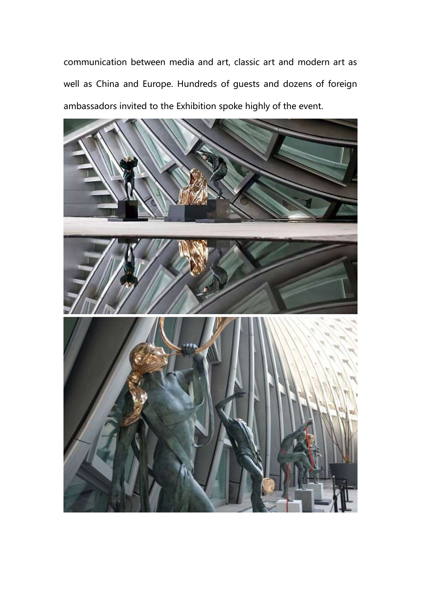communication between media and art, classic art and modern art as well as China and Europe. Hundreds of guests and dozens of foreign ambassadors invited to the Exhibition spoke highly of the event.

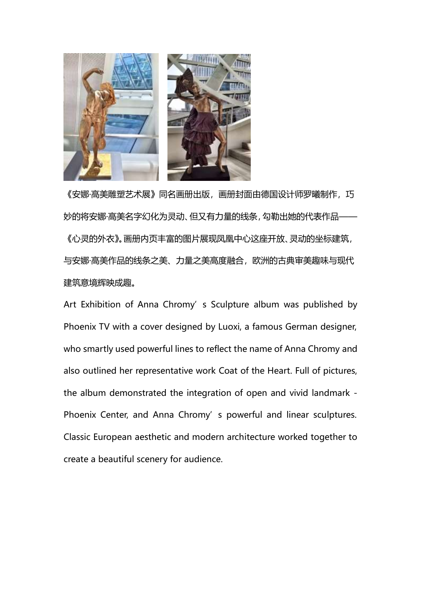

《安娜·高美雕塑艺术展》同名画册出版, 画册封面由德国设计师罗曦制作, 巧 妙的将安娜·高美名字幻化为灵动、但又有力量的线条,勾勒出她的代表作品—— 《心灵的外衣》。画册内页丰富的图片展现凤凰中心这座开放、灵动的坐标建筑, 与安娜·高美作品的线条之美、力量之美高度融合,欧洲的古典审美趣味与现代 建筑意境辉映成趣。

Art Exhibition of Anna Chromy's Sculpture album was published by Phoenix TV with a cover designed by Luoxi, a famous German designer, who smartly used powerful lines to reflect the name of Anna Chromy and also outlined her representative work Coat of the Heart. Full of pictures, the album demonstrated the integration of open and vivid landmark - Phoenix Center, and Anna Chromy's powerful and linear sculptures. Classic European aesthetic and modern architecture worked together to create a beautiful scenery for audience.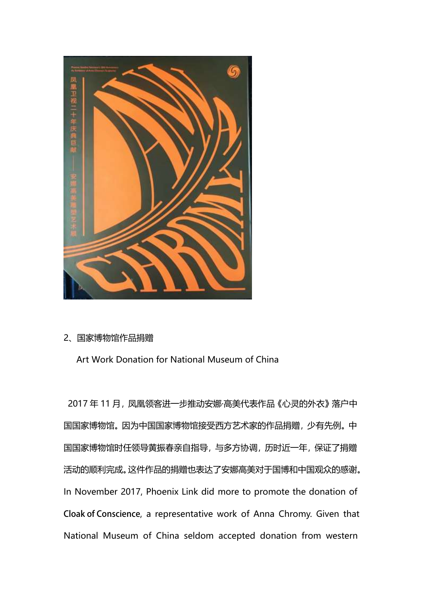

# 2、国家博物馆作品捐赠

Art Work Donation for National Museum of China

2017年11月,凤凰领客进一步推动安娜·高美代表作品《心灵的外衣》落户中 国国家博物馆。因为中国国家博物馆接受西方艺术家的作品捐赠,少有先例。中 国国家博物馆时任领导黄振春亲自指导,与多方协调,历时近一年,保证了捐赠 活动的顺利完成。这件作品的捐赠也表达了安娜高美对于国博和中国观众的感谢。 In November 2017, Phoenix Link did more to promote the donation of **Cloak of Conscience**, a representative work of Anna Chromy. Given that National Museum of China seldom accepted donation from western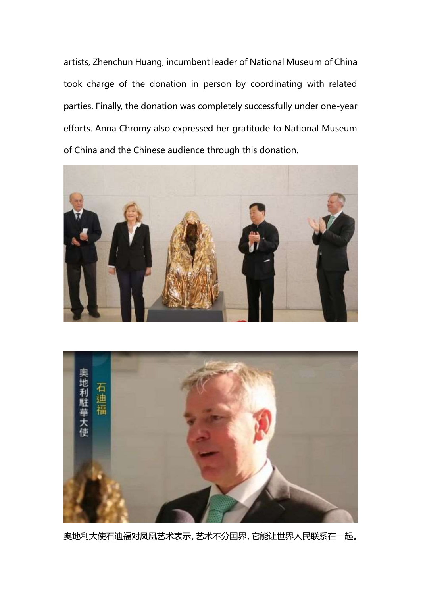artists, Zhenchun Huang, incumbent leader of National Museum of China took charge of the donation in person by coordinating with related parties. Finally, the donation was completely successfully under one-year efforts. Anna Chromy also expressed her gratitude to National Museum of China and the Chinese audience through this donation.





奥地利大使石迪福对凤凰艺术表示,艺术不分国界,它能让世界人民联系在一起。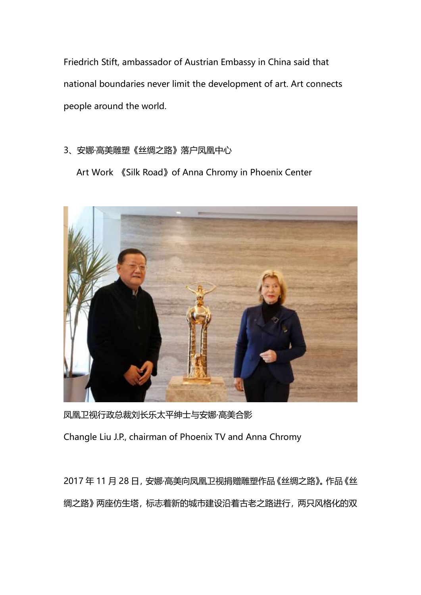Friedrich Stift, ambassador of Austrian Embassy in China said that national boundaries never limit the development of art. Art connects people around the world.

3、安娜·高美雕塑《丝绸之路》落户凤凰中心

Art Work 《Silk Road》of Anna Chromy in Phoenix Center



凤凰卫视行政总裁刘长乐太平绅士与安娜·高美合影

Changle Liu J.P., chairman of Phoenix TV and Anna Chromy

2017 年 11 月 28 日,安娜·高美向凤凰卫视捐赠雕塑作品《丝绸之路》。作品《丝 绸之路》两座仿生塔,标志着新的城市建设沿着古老之路进行,两只风格化的双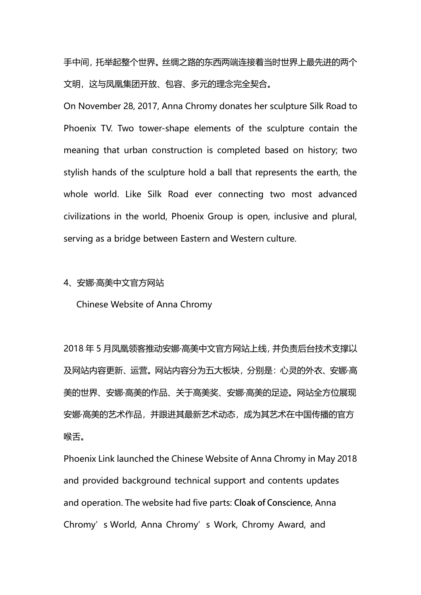手中间,托举起整个世界。丝绸之路的东西两端连接着当时世界上最先进的两个 文明,这与凤凰集团开放、包容、多元的理念完全契合。

On November 28, 2017, Anna Chromy donates her sculpture Silk Road to Phoenix TV. Two tower-shape elements of the sculpture contain the meaning that urban construction is completed based on history; two stylish hands of the sculpture hold a ball that represents the earth, the whole world. Like Silk Road ever connecting two most advanced civilizations in the world, Phoenix Group is open, inclusive and plural, serving as a bridge between Eastern and Western culture.

#### 4、安娜·高美中文官方网站

Chinese Website of Anna Chromy

2018 年 5 月凤凰领客推动安娜·高美中文官方网站上线,并负责后台技术支撑以 及网站内容更新、运营。网站内容分为五大板块,分别是:心灵的外衣、安娜·高 美的世界、安娜·高美的作品、关于高美奖、安娜·高美的足迹。网站全方位展现 安娜·高美的艺术作品,并跟进其最新艺术动态,成为其艺术在中国传播的官方 喉舌。

Phoenix Link launched the Chinese Website of Anna Chromy in May 2018 and provided background technical support and contents updates and operation. The website had five parts: **Cloak of Conscience**, Anna Chromy's World, Anna Chromy's Work, Chromy Award, and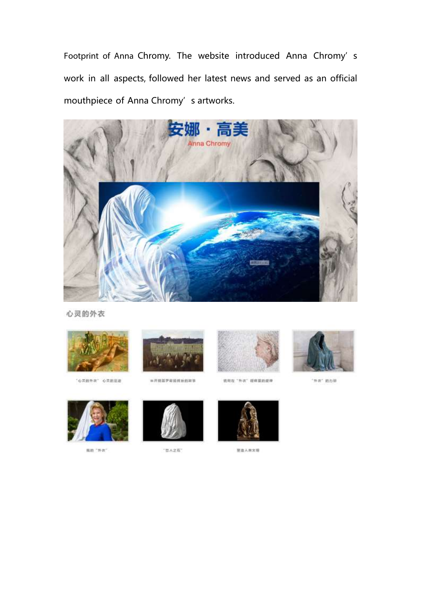Footprint of Anna Chromy. The website introduced Anna Chromy's work in all aspects, followed her latest news and served as an official mouthpiece of Anna Chromy's artworks.



心灵的外衣



· 心実的外衣" 心共的意識



\*\*\*\*\*\*\*\*\*\*\*\*



**选择在"外次"报信显的提择** 



"外衣" 的力量



nn "na"



"百人之石"



閉流入向文明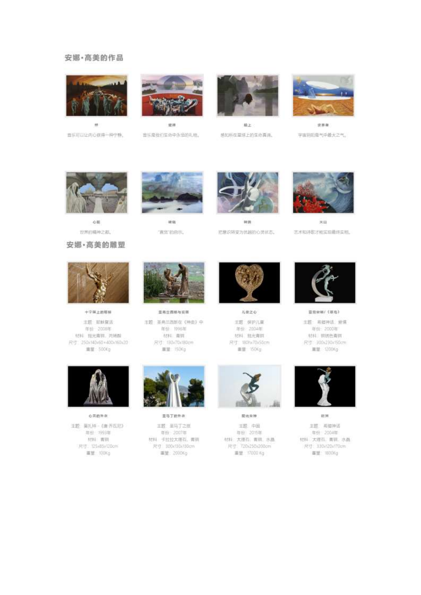#### 安娜·高美的作品



 $\bar{m}$ 言乐可以让内心获得一种宁静。



定理 青压是我们生命中永远的礼物。



极上 感知所在星球上的生态真谛。



京事書 宇宙用阳是气中最大之气。



心脏 世界的精神之都。

#### 安娜·高美的雕塑



確信 "真货"的启示。



sem 把意识转变为休胡的心灵状态。



実面 艺术和诗歌才能实现最终实相。



十字架上的移标

主题:那鲜复活 年份 2008年 材料 独光海洞, 河场洞 尺寸 250×140×60 +400×160×20 重量 500Kg

心言的外衣

主题: 吴扎持 - 《唐 齐乱尼》

年份 1993年

材料:青铜

尺寸: 125×85x120cm

面型: 100Kg



景義芸器形与菜器 主题 圣典兰西斯在《神由》中 年份 1995年 **MN 南明** 尺寸: 130x70x380cm **面望 150Kg** 



歪马丁的外衣

主题 圣马丁之班 年份: 2007年 材料 卡拉拉大理石,青铜 尺寸 300x130x130cm 重量: 2000Kg



ルまえる

王题 保护儿童 年份 2004年 材料 抛光青铜 尺寸 SShx70x56cm 重量 150Kg



関元京神

王题中国 年份: 2015年 材料: 大理石: 青铜, 水晶 尺寸: 720x250x200cm 面塑 17000 Kg



亚克史明/《拟地》 主题: 希腊神话, 迎情 年份: 2000年 材料:脱结色青铜 尺寸 300x230x150cm ■■ 1200Kg



65.94

王超、周蜀神话 年份 2004年 材料 太理石, 青铜, 水晶 /Pdf: 330x120x170cm 面里: 1900Kg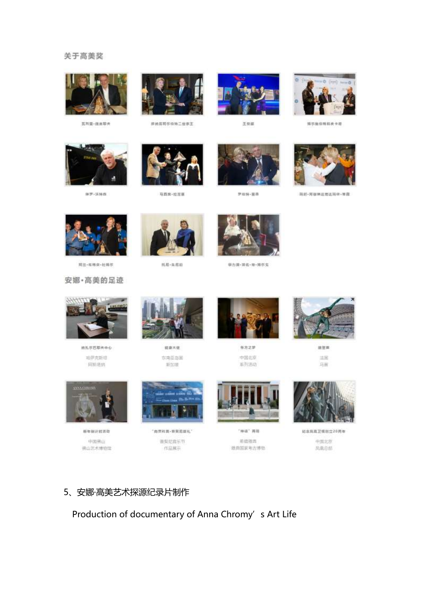#### 关于高美奖



**医利亚-自由尼夫** 



**控纳指列尔伯特二世医王** 



王林縣



博尔施伯格和皮卡德



#罗·沃特森

马西宾·拉尼斯



芝佐特・重草



玛彩-阿穆琳这南话玛律+推胜



両並・布格索・杜博尔

托瓜·朱尼田



**取力第· 第<del>名· 第· 博尔</del>先** 





通気が巴耶夫牛心 精萨克斯坦 问师堪纳



経病大便 东南亚岛国 新加坡



新方之梦 中国北京 系列活动



請管案 活因 马前



新年制计封闭物 中国病山 佛山艺术博物馆



"南世和真-新奖范围礼" 普莱尼高乐节 作品解示



"神话"再报 能结排出 独自国家考古博物



经总局高卫报创立20两年 中国北京

凤凰祭组

## 5、安娜·高美艺术探源纪录片制作

Production of documentary of Anna Chromy's Art Life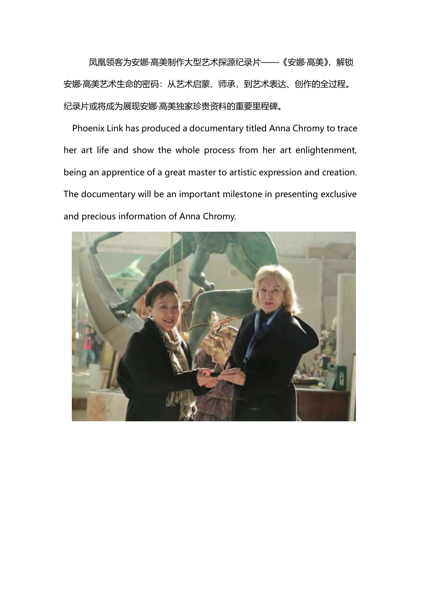凤凰领客为安娜·高美制作大型艺术探源纪录片——《安娜·高美》,解锁 安娜·高美艺术生命的密码:从艺术启蒙、师承,到艺术表达、创作的全过程。 纪录片或将成为展现安娜·高美独家珍贵资料的重要里程碑。

Phoenix Link has produced a documentary titled Anna Chromy to trace her art life and show the whole process from her art enlightenment, being an apprentice of a great master to artistic expression and creation. The documentary will be an important milestone in presenting exclusive and precious information of Anna Chromy.